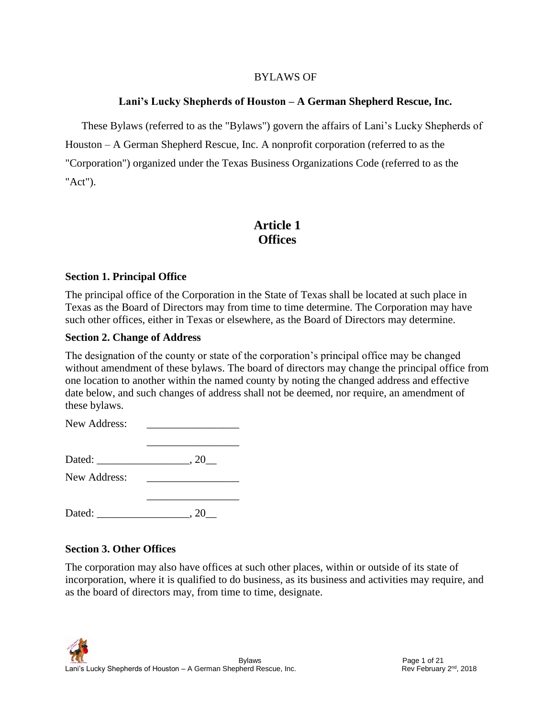### BYLAWS OF

### **Lani's Lucky Shepherds of Houston – A German Shepherd Rescue, Inc.**

These Bylaws (referred to as the "Bylaws") govern the affairs of Lani's Lucky Shepherds of Houston – A German Shepherd Rescue, Inc. A nonprofit corporation (referred to as the "Corporation") organized under the Texas Business Organizations Code (referred to as the "Act").

# **Article 1 Offices**

### **Section 1. Principal Office**

The principal office of the Corporation in the State of Texas shall be located at such place in Texas as the Board of Directors may from time to time determine. The Corporation may have such other offices, either in Texas or elsewhere, as the Board of Directors may determine.

#### **Section 2. Change of Address**

The designation of the county or state of the corporation's principal office may be changed without amendment of these bylaws. The board of directors may change the principal office from one location to another within the named county by noting the changed address and effective date below, and such changes of address shall not be deemed, nor require, an amendment of these bylaws.

| New Address:               |  |
|----------------------------|--|
| Dated: $\qquad \qquad .20$ |  |
| New Address:               |  |
| Dated:                     |  |

### **Section 3. Other Offices**

The corporation may also have offices at such other places, within or outside of its state of incorporation, where it is qualified to do business, as its business and activities may require, and as the board of directors may, from time to time, designate.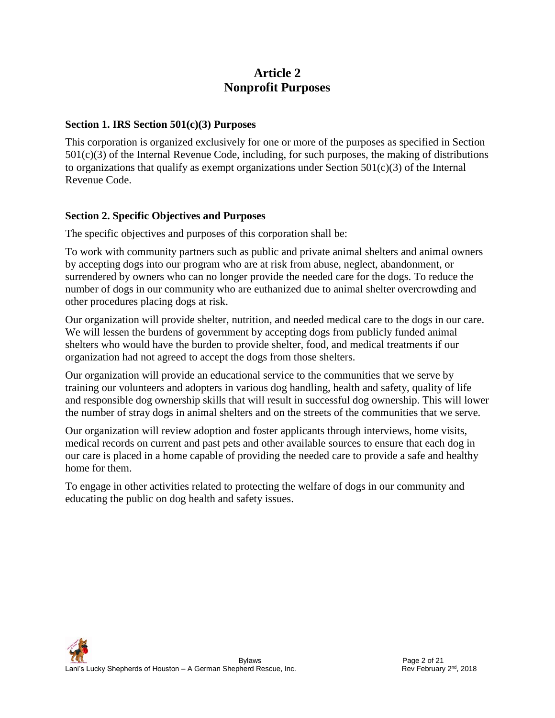# **Article 2 Nonprofit Purposes**

### **Section 1. IRS Section 501(c)(3) Purposes**

This corporation is organized exclusively for one or more of the purposes as specified in Section  $501(c)(3)$  of the Internal Revenue Code, including, for such purposes, the making of distributions to organizations that qualify as exempt organizations under Section  $501(c)(3)$  of the Internal Revenue Code.

### **Section 2. Specific Objectives and Purposes**

The specific objectives and purposes of this corporation shall be:

To work with community partners such as public and private animal shelters and animal owners by accepting dogs into our program who are at risk from abuse, neglect, abandonment, or surrendered by owners who can no longer provide the needed care for the dogs. To reduce the number of dogs in our community who are euthanized due to animal shelter overcrowding and other procedures placing dogs at risk.

Our organization will provide shelter, nutrition, and needed medical care to the dogs in our care. We will lessen the burdens of government by accepting dogs from publicly funded animal shelters who would have the burden to provide shelter, food, and medical treatments if our organization had not agreed to accept the dogs from those shelters.

Our organization will provide an educational service to the communities that we serve by training our volunteers and adopters in various dog handling, health and safety, quality of life and responsible dog ownership skills that will result in successful dog ownership. This will lower the number of stray dogs in animal shelters and on the streets of the communities that we serve.

Our organization will review adoption and foster applicants through interviews, home visits, medical records on current and past pets and other available sources to ensure that each dog in our care is placed in a home capable of providing the needed care to provide a safe and healthy home for them.

To engage in other activities related to protecting the welfare of dogs in our community and educating the public on dog health and safety issues.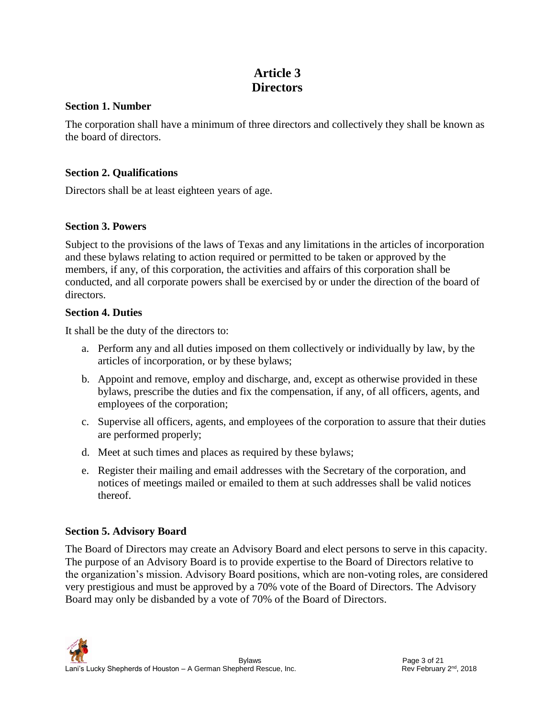# **Article 3 Directors**

### **Section 1. Number**

The corporation shall have a minimum of three directors and collectively they shall be known as the board of directors.

### **Section 2. Qualifications**

Directors shall be at least eighteen years of age.

### **Section 3. Powers**

Subject to the provisions of the laws of Texas and any limitations in the articles of incorporation and these bylaws relating to action required or permitted to be taken or approved by the members, if any, of this corporation, the activities and affairs of this corporation shall be conducted, and all corporate powers shall be exercised by or under the direction of the board of directors.

### **Section 4. Duties**

It shall be the duty of the directors to:

- a. Perform any and all duties imposed on them collectively or individually by law, by the articles of incorporation, or by these bylaws;
- b. Appoint and remove, employ and discharge, and, except as otherwise provided in these bylaws, prescribe the duties and fix the compensation, if any, of all officers, agents, and employees of the corporation;
- c. Supervise all officers, agents, and employees of the corporation to assure that their duties are performed properly;
- d. Meet at such times and places as required by these bylaws;
- e. Register their mailing and email addresses with the Secretary of the corporation, and notices of meetings mailed or emailed to them at such addresses shall be valid notices thereof.

### **Section 5. Advisory Board**

The Board of Directors may create an Advisory Board and elect persons to serve in this capacity. The purpose of an Advisory Board is to provide expertise to the Board of Directors relative to the organization's mission. Advisory Board positions, which are non-voting roles, are considered very prestigious and must be approved by a 70% vote of the Board of Directors. The Advisory Board may only be disbanded by a vote of 70% of the Board of Directors.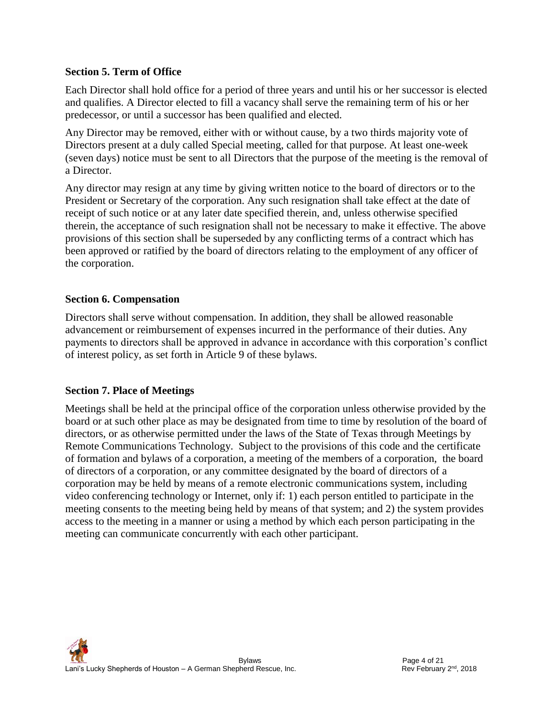### **Section 5. Term of Office**

Each Director shall hold office for a period of three years and until his or her successor is elected and qualifies. A Director elected to fill a vacancy shall serve the remaining term of his or her predecessor, or until a successor has been qualified and elected.

Any Director may be removed, either with or without cause, by a two thirds majority vote of Directors present at a duly called Special meeting, called for that purpose. At least one-week (seven days) notice must be sent to all Directors that the purpose of the meeting is the removal of a Director.

Any director may resign at any time by giving written notice to the board of directors or to the President or Secretary of the corporation. Any such resignation shall take effect at the date of receipt of such notice or at any later date specified therein, and, unless otherwise specified therein, the acceptance of such resignation shall not be necessary to make it effective. The above provisions of this section shall be superseded by any conflicting terms of a contract which has been approved or ratified by the board of directors relating to the employment of any officer of the corporation.

### **Section 6. Compensation**

Directors shall serve without compensation. In addition, they shall be allowed reasonable advancement or reimbursement of expenses incurred in the performance of their duties. Any payments to directors shall be approved in advance in accordance with this corporation's conflict of interest policy, as set forth in Article 9 of these bylaws.

### **Section 7. Place of Meetings**

Meetings shall be held at the principal office of the corporation unless otherwise provided by the board or at such other place as may be designated from time to time by resolution of the board of directors, or as otherwise permitted under the laws of the State of Texas through Meetings by Remote Communications Technology. Subject to the provisions of this code and the certificate of formation and bylaws of a corporation, a meeting of the members of a corporation, the board of directors of a corporation, or any committee designated by the board of directors of a corporation may be held by means of a remote electronic communications system, including video conferencing technology or Internet, only if: 1) each person entitled to participate in the meeting consents to the meeting being held by means of that system; and 2) the system provides access to the meeting in a manner or using a method by which each person participating in the meeting can communicate concurrently with each other participant.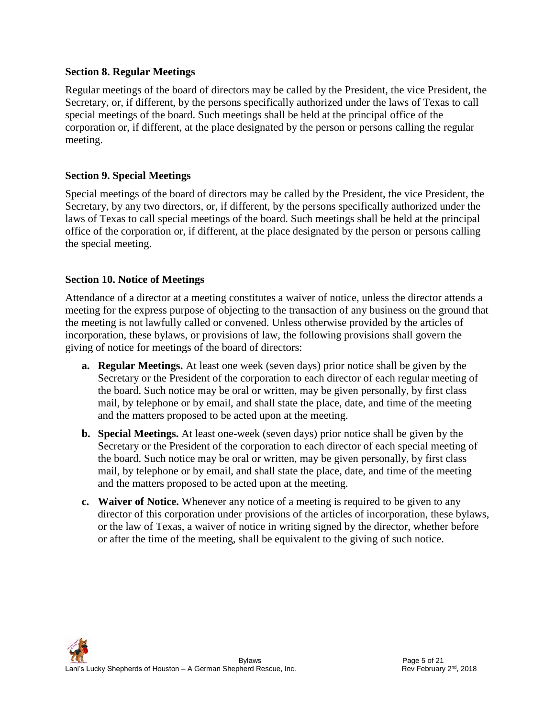### **Section 8. Regular Meetings**

Regular meetings of the board of directors may be called by the President, the vice President, the Secretary, or, if different, by the persons specifically authorized under the laws of Texas to call special meetings of the board. Such meetings shall be held at the principal office of the corporation or, if different, at the place designated by the person or persons calling the regular meeting.

## **Section 9. Special Meetings**

Special meetings of the board of directors may be called by the President, the vice President, the Secretary, by any two directors, or, if different, by the persons specifically authorized under the laws of Texas to call special meetings of the board. Such meetings shall be held at the principal office of the corporation or, if different, at the place designated by the person or persons calling the special meeting.

# **Section 10. Notice of Meetings**

Attendance of a director at a meeting constitutes a waiver of notice, unless the director attends a meeting for the express purpose of objecting to the transaction of any business on the ground that the meeting is not lawfully called or convened. Unless otherwise provided by the articles of incorporation, these bylaws, or provisions of law, the following provisions shall govern the giving of notice for meetings of the board of directors:

- **a. Regular Meetings.** At least one week (seven days) prior notice shall be given by the Secretary or the President of the corporation to each director of each regular meeting of the board. Such notice may be oral or written, may be given personally, by first class mail, by telephone or by email, and shall state the place, date, and time of the meeting and the matters proposed to be acted upon at the meeting.
- **b. Special Meetings.** At least one-week (seven days) prior notice shall be given by the Secretary or the President of the corporation to each director of each special meeting of the board. Such notice may be oral or written, may be given personally, by first class mail, by telephone or by email, and shall state the place, date, and time of the meeting and the matters proposed to be acted upon at the meeting.
- **c. Waiver of Notice.** Whenever any notice of a meeting is required to be given to any director of this corporation under provisions of the articles of incorporation, these bylaws, or the law of Texas, a waiver of notice in writing signed by the director, whether before or after the time of the meeting, shall be equivalent to the giving of such notice.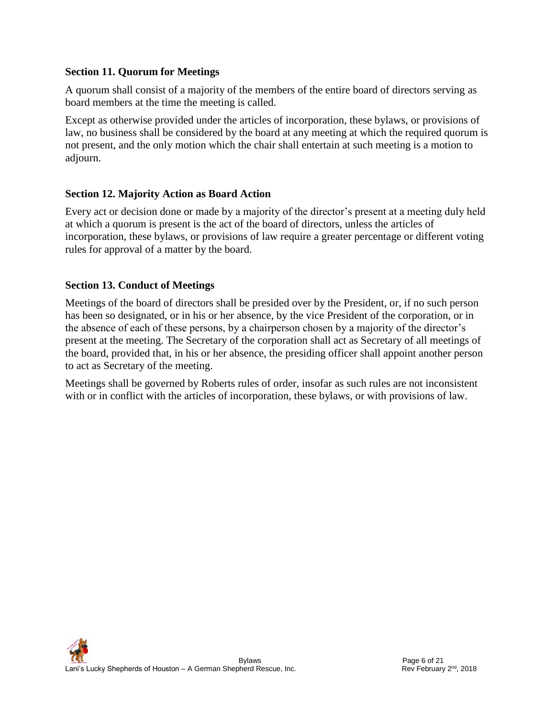### **Section 11. Quorum for Meetings**

A quorum shall consist of a majority of the members of the entire board of directors serving as board members at the time the meeting is called.

Except as otherwise provided under the articles of incorporation, these bylaws, or provisions of law, no business shall be considered by the board at any meeting at which the required quorum is not present, and the only motion which the chair shall entertain at such meeting is a motion to adjourn.

## **Section 12. Majority Action as Board Action**

Every act or decision done or made by a majority of the director's present at a meeting duly held at which a quorum is present is the act of the board of directors, unless the articles of incorporation, these bylaws, or provisions of law require a greater percentage or different voting rules for approval of a matter by the board.

# **Section 13. Conduct of Meetings**

Meetings of the board of directors shall be presided over by the President, or, if no such person has been so designated, or in his or her absence, by the vice President of the corporation, or in the absence of each of these persons, by a chairperson chosen by a majority of the director's present at the meeting. The Secretary of the corporation shall act as Secretary of all meetings of the board, provided that, in his or her absence, the presiding officer shall appoint another person to act as Secretary of the meeting.

Meetings shall be governed by Roberts rules of order, insofar as such rules are not inconsistent with or in conflict with the articles of incorporation, these bylaws, or with provisions of law.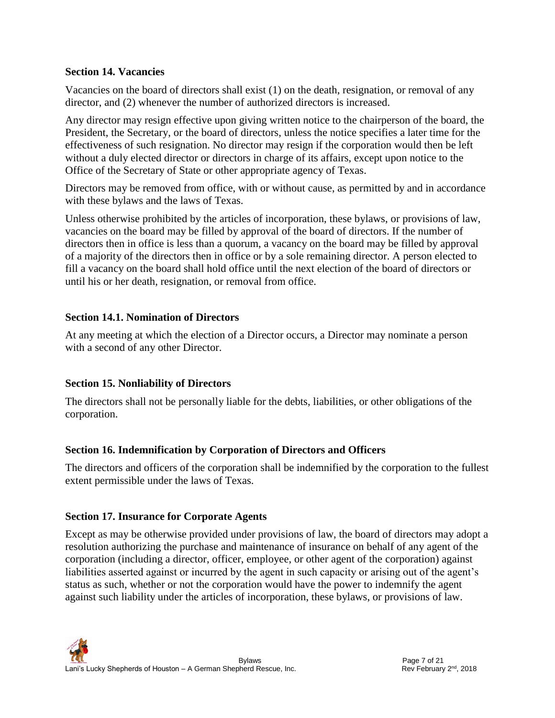### **Section 14. Vacancies**

Vacancies on the board of directors shall exist (1) on the death, resignation, or removal of any director, and (2) whenever the number of authorized directors is increased.

Any director may resign effective upon giving written notice to the chairperson of the board, the President, the Secretary, or the board of directors, unless the notice specifies a later time for the effectiveness of such resignation. No director may resign if the corporation would then be left without a duly elected director or directors in charge of its affairs, except upon notice to the Office of the Secretary of State or other appropriate agency of Texas.

Directors may be removed from office, with or without cause, as permitted by and in accordance with these bylaws and the laws of Texas.

Unless otherwise prohibited by the articles of incorporation, these bylaws, or provisions of law, vacancies on the board may be filled by approval of the board of directors. If the number of directors then in office is less than a quorum, a vacancy on the board may be filled by approval of a majority of the directors then in office or by a sole remaining director. A person elected to fill a vacancy on the board shall hold office until the next election of the board of directors or until his or her death, resignation, or removal from office.

### **Section 14.1. Nomination of Directors**

At any meeting at which the election of a Director occurs, a Director may nominate a person with a second of any other Director.

### **Section 15. Nonliability of Directors**

The directors shall not be personally liable for the debts, liabilities, or other obligations of the corporation.

### **Section 16. Indemnification by Corporation of Directors and Officers**

The directors and officers of the corporation shall be indemnified by the corporation to the fullest extent permissible under the laws of Texas.

### **Section 17. Insurance for Corporate Agents**

Except as may be otherwise provided under provisions of law, the board of directors may adopt a resolution authorizing the purchase and maintenance of insurance on behalf of any agent of the corporation (including a director, officer, employee, or other agent of the corporation) against liabilities asserted against or incurred by the agent in such capacity or arising out of the agent's status as such, whether or not the corporation would have the power to indemnify the agent against such liability under the articles of incorporation, these bylaws, or provisions of law.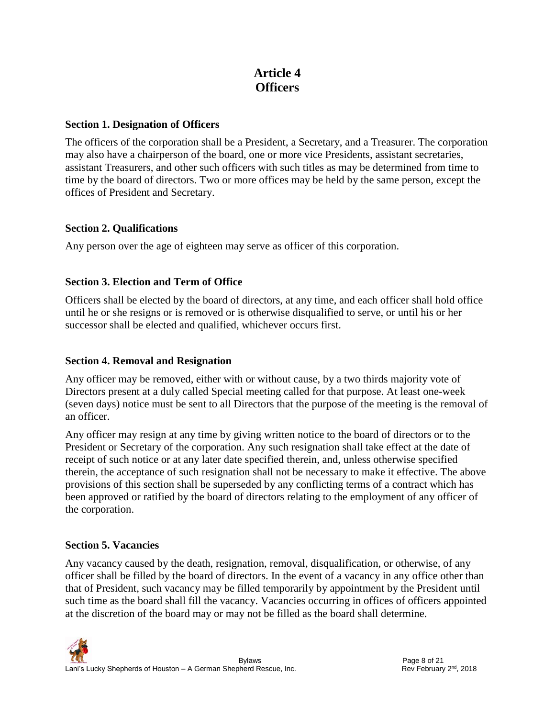# **Article 4 Officers**

### **Section 1. Designation of Officers**

The officers of the corporation shall be a President, a Secretary, and a Treasurer. The corporation may also have a chairperson of the board, one or more vice Presidents, assistant secretaries, assistant Treasurers, and other such officers with such titles as may be determined from time to time by the board of directors. Two or more offices may be held by the same person, except the offices of President and Secretary.

## **Section 2. Qualifications**

Any person over the age of eighteen may serve as officer of this corporation.

# **Section 3. Election and Term of Office**

Officers shall be elected by the board of directors, at any time, and each officer shall hold office until he or she resigns or is removed or is otherwise disqualified to serve, or until his or her successor shall be elected and qualified, whichever occurs first.

# **Section 4. Removal and Resignation**

Any officer may be removed, either with or without cause, by a two thirds majority vote of Directors present at a duly called Special meeting called for that purpose. At least one-week (seven days) notice must be sent to all Directors that the purpose of the meeting is the removal of an officer.

Any officer may resign at any time by giving written notice to the board of directors or to the President or Secretary of the corporation. Any such resignation shall take effect at the date of receipt of such notice or at any later date specified therein, and, unless otherwise specified therein, the acceptance of such resignation shall not be necessary to make it effective. The above provisions of this section shall be superseded by any conflicting terms of a contract which has been approved or ratified by the board of directors relating to the employment of any officer of the corporation.

# **Section 5. Vacancies**

Any vacancy caused by the death, resignation, removal, disqualification, or otherwise, of any officer shall be filled by the board of directors. In the event of a vacancy in any office other than that of President, such vacancy may be filled temporarily by appointment by the President until such time as the board shall fill the vacancy. Vacancies occurring in offices of officers appointed at the discretion of the board may or may not be filled as the board shall determine.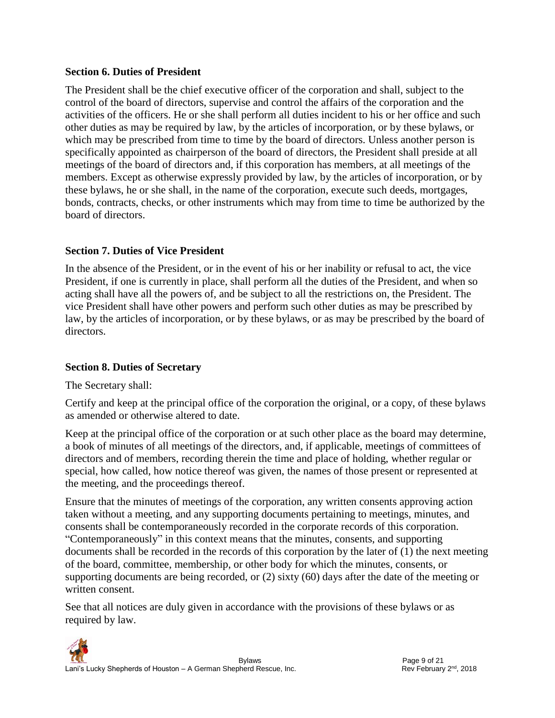### **Section 6. Duties of President**

The President shall be the chief executive officer of the corporation and shall, subject to the control of the board of directors, supervise and control the affairs of the corporation and the activities of the officers. He or she shall perform all duties incident to his or her office and such other duties as may be required by law, by the articles of incorporation, or by these bylaws, or which may be prescribed from time to time by the board of directors. Unless another person is specifically appointed as chairperson of the board of directors, the President shall preside at all meetings of the board of directors and, if this corporation has members, at all meetings of the members. Except as otherwise expressly provided by law, by the articles of incorporation, or by these bylaws, he or she shall, in the name of the corporation, execute such deeds, mortgages, bonds, contracts, checks, or other instruments which may from time to time be authorized by the board of directors.

# **Section 7. Duties of Vice President**

In the absence of the President, or in the event of his or her inability or refusal to act, the vice President, if one is currently in place, shall perform all the duties of the President, and when so acting shall have all the powers of, and be subject to all the restrictions on, the President. The vice President shall have other powers and perform such other duties as may be prescribed by law, by the articles of incorporation, or by these bylaws, or as may be prescribed by the board of directors.

# **Section 8. Duties of Secretary**

The Secretary shall:

Certify and keep at the principal office of the corporation the original, or a copy, of these bylaws as amended or otherwise altered to date.

Keep at the principal office of the corporation or at such other place as the board may determine, a book of minutes of all meetings of the directors, and, if applicable, meetings of committees of directors and of members, recording therein the time and place of holding, whether regular or special, how called, how notice thereof was given, the names of those present or represented at the meeting, and the proceedings thereof.

Ensure that the minutes of meetings of the corporation, any written consents approving action taken without a meeting, and any supporting documents pertaining to meetings, minutes, and consents shall be contemporaneously recorded in the corporate records of this corporation. "Contemporaneously" in this context means that the minutes, consents, and supporting documents shall be recorded in the records of this corporation by the later of (1) the next meeting of the board, committee, membership, or other body for which the minutes, consents, or supporting documents are being recorded, or (2) sixty (60) days after the date of the meeting or written consent.

See that all notices are duly given in accordance with the provisions of these bylaws or as required by law.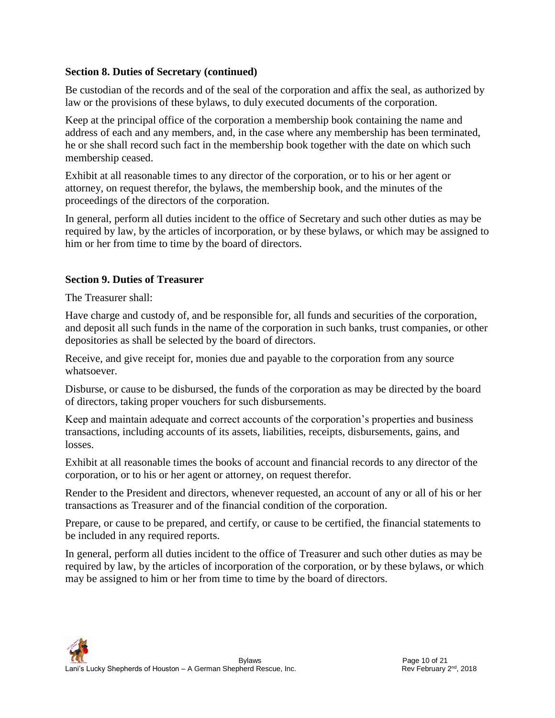## **Section 8. Duties of Secretary (continued)**

Be custodian of the records and of the seal of the corporation and affix the seal, as authorized by law or the provisions of these bylaws, to duly executed documents of the corporation.

Keep at the principal office of the corporation a membership book containing the name and address of each and any members, and, in the case where any membership has been terminated, he or she shall record such fact in the membership book together with the date on which such membership ceased.

Exhibit at all reasonable times to any director of the corporation, or to his or her agent or attorney, on request therefor, the bylaws, the membership book, and the minutes of the proceedings of the directors of the corporation.

In general, perform all duties incident to the office of Secretary and such other duties as may be required by law, by the articles of incorporation, or by these bylaws, or which may be assigned to him or her from time to time by the board of directors.

## **Section 9. Duties of Treasurer**

The Treasurer shall:

Have charge and custody of, and be responsible for, all funds and securities of the corporation, and deposit all such funds in the name of the corporation in such banks, trust companies, or other depositories as shall be selected by the board of directors.

Receive, and give receipt for, monies due and payable to the corporation from any source whatsoever.

Disburse, or cause to be disbursed, the funds of the corporation as may be directed by the board of directors, taking proper vouchers for such disbursements.

Keep and maintain adequate and correct accounts of the corporation's properties and business transactions, including accounts of its assets, liabilities, receipts, disbursements, gains, and losses.

Exhibit at all reasonable times the books of account and financial records to any director of the corporation, or to his or her agent or attorney, on request therefor.

Render to the President and directors, whenever requested, an account of any or all of his or her transactions as Treasurer and of the financial condition of the corporation.

Prepare, or cause to be prepared, and certify, or cause to be certified, the financial statements to be included in any required reports.

In general, perform all duties incident to the office of Treasurer and such other duties as may be required by law, by the articles of incorporation of the corporation, or by these bylaws, or which may be assigned to him or her from time to time by the board of directors.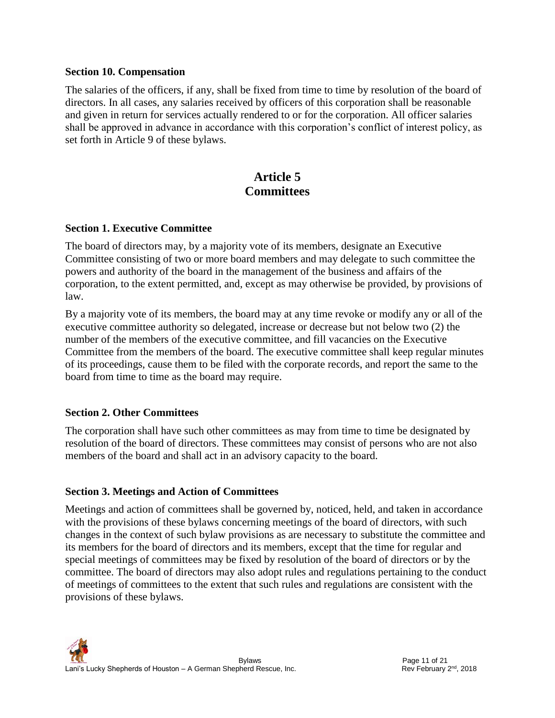### **Section 10. Compensation**

The salaries of the officers, if any, shall be fixed from time to time by resolution of the board of directors. In all cases, any salaries received by officers of this corporation shall be reasonable and given in return for services actually rendered to or for the corporation. All officer salaries shall be approved in advance in accordance with this corporation's conflict of interest policy, as set forth in Article 9 of these bylaws.

# **Article 5 Committees**

### **Section 1. Executive Committee**

The board of directors may, by a majority vote of its members, designate an Executive Committee consisting of two or more board members and may delegate to such committee the powers and authority of the board in the management of the business and affairs of the corporation, to the extent permitted, and, except as may otherwise be provided, by provisions of law.

By a majority vote of its members, the board may at any time revoke or modify any or all of the executive committee authority so delegated, increase or decrease but not below two (2) the number of the members of the executive committee, and fill vacancies on the Executive Committee from the members of the board. The executive committee shall keep regular minutes of its proceedings, cause them to be filed with the corporate records, and report the same to the board from time to time as the board may require.

### **Section 2. Other Committees**

The corporation shall have such other committees as may from time to time be designated by resolution of the board of directors. These committees may consist of persons who are not also members of the board and shall act in an advisory capacity to the board.

### **Section 3. Meetings and Action of Committees**

Meetings and action of committees shall be governed by, noticed, held, and taken in accordance with the provisions of these bylaws concerning meetings of the board of directors, with such changes in the context of such bylaw provisions as are necessary to substitute the committee and its members for the board of directors and its members, except that the time for regular and special meetings of committees may be fixed by resolution of the board of directors or by the committee. The board of directors may also adopt rules and regulations pertaining to the conduct of meetings of committees to the extent that such rules and regulations are consistent with the provisions of these bylaws.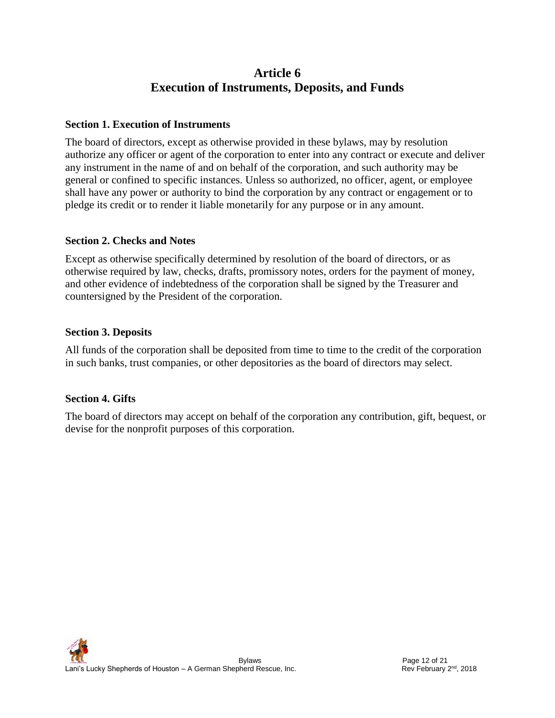# **Article 6 Execution of Instruments, Deposits, and Funds**

## **Section 1. Execution of Instruments**

The board of directors, except as otherwise provided in these bylaws, may by resolution authorize any officer or agent of the corporation to enter into any contract or execute and deliver any instrument in the name of and on behalf of the corporation, and such authority may be general or confined to specific instances. Unless so authorized, no officer, agent, or employee shall have any power or authority to bind the corporation by any contract or engagement or to pledge its credit or to render it liable monetarily for any purpose or in any amount.

### **Section 2. Checks and Notes**

Except as otherwise specifically determined by resolution of the board of directors, or as otherwise required by law, checks, drafts, promissory notes, orders for the payment of money, and other evidence of indebtedness of the corporation shall be signed by the Treasurer and countersigned by the President of the corporation.

### **Section 3. Deposits**

All funds of the corporation shall be deposited from time to time to the credit of the corporation in such banks, trust companies, or other depositories as the board of directors may select.

### **Section 4. Gifts**

The board of directors may accept on behalf of the corporation any contribution, gift, bequest, or devise for the nonprofit purposes of this corporation.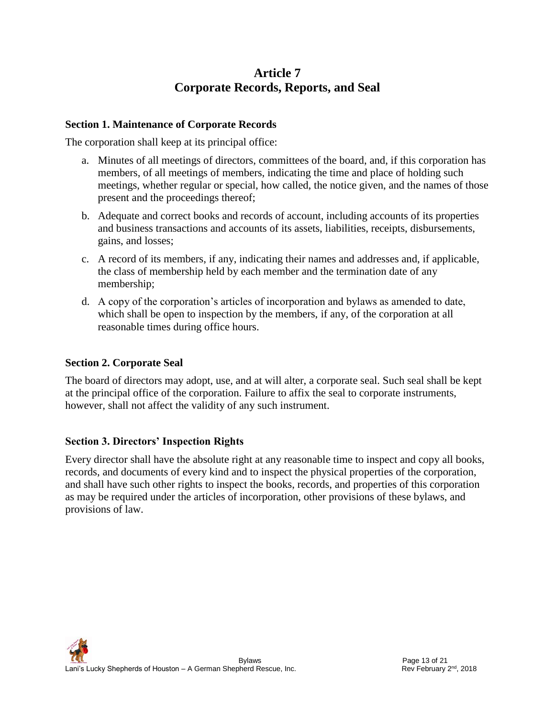# **Article 7 Corporate Records, Reports, and Seal**

### **Section 1. Maintenance of Corporate Records**

The corporation shall keep at its principal office:

- a. Minutes of all meetings of directors, committees of the board, and, if this corporation has members, of all meetings of members, indicating the time and place of holding such meetings, whether regular or special, how called, the notice given, and the names of those present and the proceedings thereof;
- b. Adequate and correct books and records of account, including accounts of its properties and business transactions and accounts of its assets, liabilities, receipts, disbursements, gains, and losses;
- c. A record of its members, if any, indicating their names and addresses and, if applicable, the class of membership held by each member and the termination date of any membership;
- d. A copy of the corporation's articles of incorporation and bylaws as amended to date, which shall be open to inspection by the members, if any, of the corporation at all reasonable times during office hours.

# **Section 2. Corporate Seal**

The board of directors may adopt, use, and at will alter, a corporate seal. Such seal shall be kept at the principal office of the corporation. Failure to affix the seal to corporate instruments, however, shall not affect the validity of any such instrument.

# **Section 3. Directors' Inspection Rights**

Every director shall have the absolute right at any reasonable time to inspect and copy all books, records, and documents of every kind and to inspect the physical properties of the corporation, and shall have such other rights to inspect the books, records, and properties of this corporation as may be required under the articles of incorporation, other provisions of these bylaws, and provisions of law.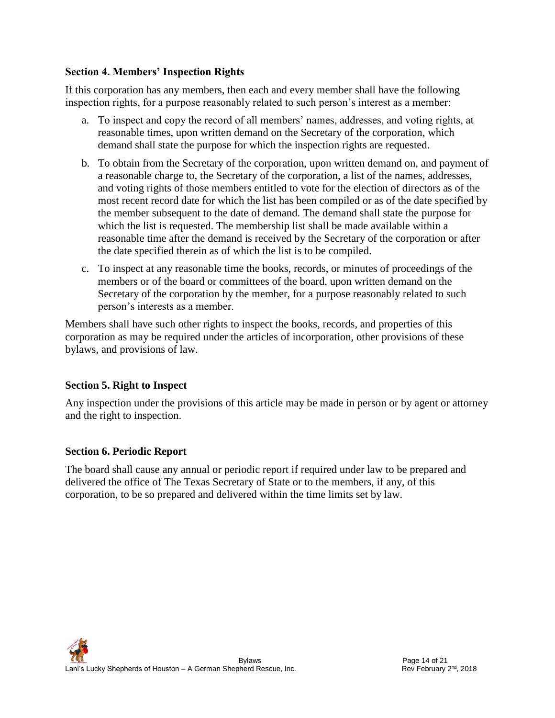### **Section 4. Members' Inspection Rights**

If this corporation has any members, then each and every member shall have the following inspection rights, for a purpose reasonably related to such person's interest as a member:

- a. To inspect and copy the record of all members' names, addresses, and voting rights, at reasonable times, upon written demand on the Secretary of the corporation, which demand shall state the purpose for which the inspection rights are requested.
- b. To obtain from the Secretary of the corporation, upon written demand on, and payment of a reasonable charge to, the Secretary of the corporation, a list of the names, addresses, and voting rights of those members entitled to vote for the election of directors as of the most recent record date for which the list has been compiled or as of the date specified by the member subsequent to the date of demand. The demand shall state the purpose for which the list is requested. The membership list shall be made available within a reasonable time after the demand is received by the Secretary of the corporation or after the date specified therein as of which the list is to be compiled.
- c. To inspect at any reasonable time the books, records, or minutes of proceedings of the members or of the board or committees of the board, upon written demand on the Secretary of the corporation by the member, for a purpose reasonably related to such person's interests as a member.

Members shall have such other rights to inspect the books, records, and properties of this corporation as may be required under the articles of incorporation, other provisions of these bylaws, and provisions of law.

# **Section 5. Right to Inspect**

Any inspection under the provisions of this article may be made in person or by agent or attorney and the right to inspection.

### **Section 6. Periodic Report**

The board shall cause any annual or periodic report if required under law to be prepared and delivered the office of The Texas Secretary of State or to the members, if any, of this corporation, to be so prepared and delivered within the time limits set by law.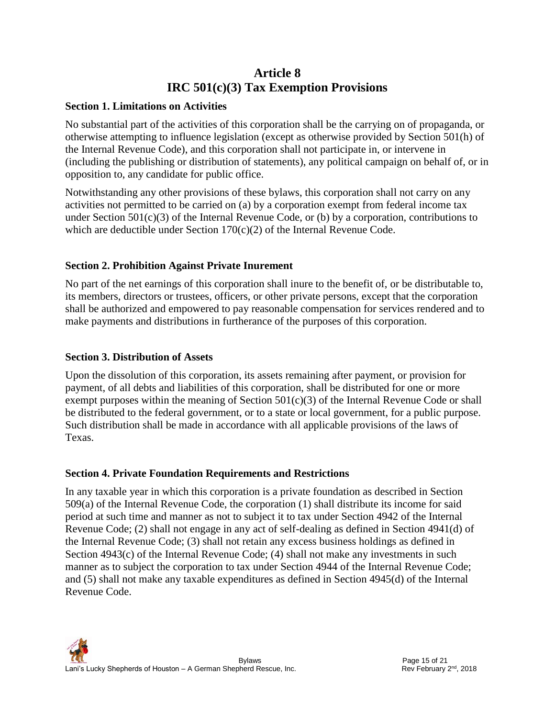# **Article 8 IRC 501(c)(3) Tax Exemption Provisions**

### **Section 1. Limitations on Activities**

No substantial part of the activities of this corporation shall be the carrying on of propaganda, or otherwise attempting to influence legislation (except as otherwise provided by Section 501(h) of the Internal Revenue Code), and this corporation shall not participate in, or intervene in (including the publishing or distribution of statements), any political campaign on behalf of, or in opposition to, any candidate for public office.

Notwithstanding any other provisions of these bylaws, this corporation shall not carry on any activities not permitted to be carried on (a) by a corporation exempt from federal income tax under Section 501(c)(3) of the Internal Revenue Code, or (b) by a corporation, contributions to which are deductible under Section  $170(c)(2)$  of the Internal Revenue Code.

# **Section 2. Prohibition Against Private Inurement**

No part of the net earnings of this corporation shall inure to the benefit of, or be distributable to, its members, directors or trustees, officers, or other private persons, except that the corporation shall be authorized and empowered to pay reasonable compensation for services rendered and to make payments and distributions in furtherance of the purposes of this corporation.

### **Section 3. Distribution of Assets**

Upon the dissolution of this corporation, its assets remaining after payment, or provision for payment, of all debts and liabilities of this corporation, shall be distributed for one or more exempt purposes within the meaning of Section  $501(c)(3)$  of the Internal Revenue Code or shall be distributed to the federal government, or to a state or local government, for a public purpose. Such distribution shall be made in accordance with all applicable provisions of the laws of Texas.

# **Section 4. Private Foundation Requirements and Restrictions**

In any taxable year in which this corporation is a private foundation as described in Section 509(a) of the Internal Revenue Code, the corporation (1) shall distribute its income for said period at such time and manner as not to subject it to tax under Section 4942 of the Internal Revenue Code; (2) shall not engage in any act of self-dealing as defined in Section 4941(d) of the Internal Revenue Code; (3) shall not retain any excess business holdings as defined in Section 4943(c) of the Internal Revenue Code; (4) shall not make any investments in such manner as to subject the corporation to tax under Section 4944 of the Internal Revenue Code; and (5) shall not make any taxable expenditures as defined in Section 4945(d) of the Internal Revenue Code.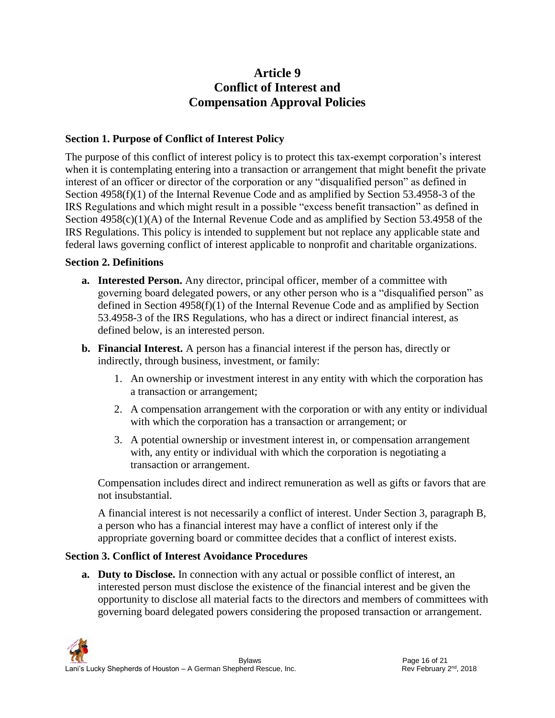# **Article 9 Conflict of Interest and Compensation Approval Policies**

## **Section 1. Purpose of Conflict of Interest Policy**

The purpose of this conflict of interest policy is to protect this tax-exempt corporation's interest when it is contemplating entering into a transaction or arrangement that might benefit the private interest of an officer or director of the corporation or any "disqualified person" as defined in Section 4958(f)(1) of the Internal Revenue Code and as amplified by Section 53.4958-3 of the IRS Regulations and which might result in a possible "excess benefit transaction" as defined in Section 4958(c)(1)(A) of the Internal Revenue Code and as amplified by Section 53.4958 of the IRS Regulations. This policy is intended to supplement but not replace any applicable state and federal laws governing conflict of interest applicable to nonprofit and charitable organizations.

### **Section 2. Definitions**

- **a. Interested Person.** Any director, principal officer, member of a committee with governing board delegated powers, or any other person who is a "disqualified person" as defined in Section 4958(f)(1) of the Internal Revenue Code and as amplified by Section 53.4958-3 of the IRS Regulations, who has a direct or indirect financial interest, as defined below, is an interested person.
- **b. Financial Interest.** A person has a financial interest if the person has, directly or indirectly, through business, investment, or family:
	- 1. An ownership or investment interest in any entity with which the corporation has a transaction or arrangement;
	- 2. A compensation arrangement with the corporation or with any entity or individual with which the corporation has a transaction or arrangement; or
	- 3. A potential ownership or investment interest in, or compensation arrangement with, any entity or individual with which the corporation is negotiating a transaction or arrangement.

Compensation includes direct and indirect remuneration as well as gifts or favors that are not insubstantial.

A financial interest is not necessarily a conflict of interest. Under Section 3, paragraph B, a person who has a financial interest may have a conflict of interest only if the appropriate governing board or committee decides that a conflict of interest exists.

### **Section 3. Conflict of Interest Avoidance Procedures**

**a. Duty to Disclose.** In connection with any actual or possible conflict of interest, an interested person must disclose the existence of the financial interest and be given the opportunity to disclose all material facts to the directors and members of committees with governing board delegated powers considering the proposed transaction or arrangement.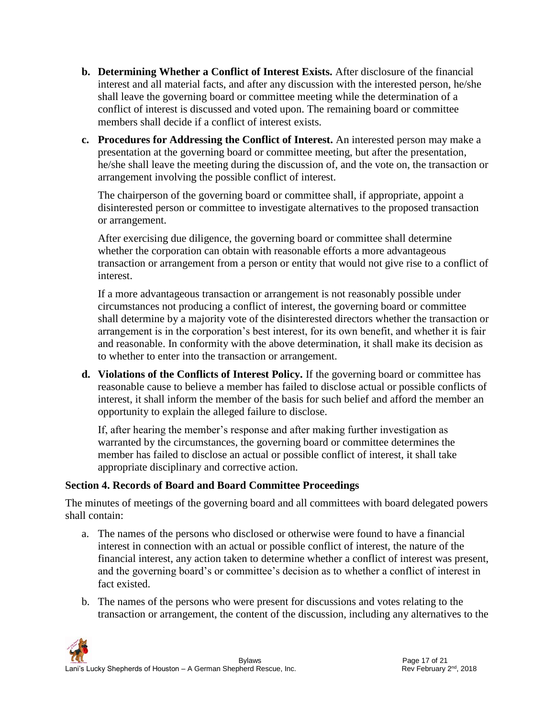- **b. Determining Whether a Conflict of Interest Exists.** After disclosure of the financial interest and all material facts, and after any discussion with the interested person, he/she shall leave the governing board or committee meeting while the determination of a conflict of interest is discussed and voted upon. The remaining board or committee members shall decide if a conflict of interest exists.
- **c. Procedures for Addressing the Conflict of Interest.** An interested person may make a presentation at the governing board or committee meeting, but after the presentation, he/she shall leave the meeting during the discussion of, and the vote on, the transaction or arrangement involving the possible conflict of interest.

The chairperson of the governing board or committee shall, if appropriate, appoint a disinterested person or committee to investigate alternatives to the proposed transaction or arrangement.

After exercising due diligence, the governing board or committee shall determine whether the corporation can obtain with reasonable efforts a more advantageous transaction or arrangement from a person or entity that would not give rise to a conflict of interest.

If a more advantageous transaction or arrangement is not reasonably possible under circumstances not producing a conflict of interest, the governing board or committee shall determine by a majority vote of the disinterested directors whether the transaction or arrangement is in the corporation's best interest, for its own benefit, and whether it is fair and reasonable. In conformity with the above determination, it shall make its decision as to whether to enter into the transaction or arrangement.

**d. Violations of the Conflicts of Interest Policy.** If the governing board or committee has reasonable cause to believe a member has failed to disclose actual or possible conflicts of interest, it shall inform the member of the basis for such belief and afford the member an opportunity to explain the alleged failure to disclose.

If, after hearing the member's response and after making further investigation as warranted by the circumstances, the governing board or committee determines the member has failed to disclose an actual or possible conflict of interest, it shall take appropriate disciplinary and corrective action.

### **Section 4. Records of Board and Board Committee Proceedings**

The minutes of meetings of the governing board and all committees with board delegated powers shall contain:

- a. The names of the persons who disclosed or otherwise were found to have a financial interest in connection with an actual or possible conflict of interest, the nature of the financial interest, any action taken to determine whether a conflict of interest was present, and the governing board's or committee's decision as to whether a conflict of interest in fact existed.
- b. The names of the persons who were present for discussions and votes relating to the transaction or arrangement, the content of the discussion, including any alternatives to the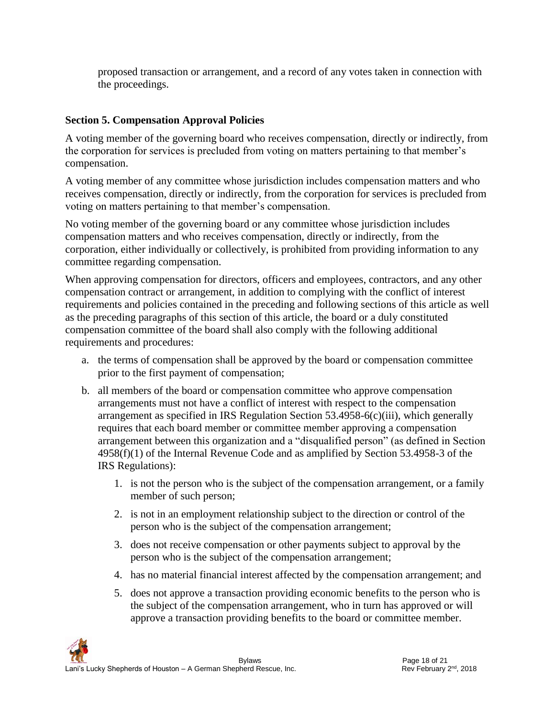proposed transaction or arrangement, and a record of any votes taken in connection with the proceedings.

# **Section 5. Compensation Approval Policies**

A voting member of the governing board who receives compensation, directly or indirectly, from the corporation for services is precluded from voting on matters pertaining to that member's compensation.

A voting member of any committee whose jurisdiction includes compensation matters and who receives compensation, directly or indirectly, from the corporation for services is precluded from voting on matters pertaining to that member's compensation.

No voting member of the governing board or any committee whose jurisdiction includes compensation matters and who receives compensation, directly or indirectly, from the corporation, either individually or collectively, is prohibited from providing information to any committee regarding compensation.

When approving compensation for directors, officers and employees, contractors, and any other compensation contract or arrangement, in addition to complying with the conflict of interest requirements and policies contained in the preceding and following sections of this article as well as the preceding paragraphs of this section of this article, the board or a duly constituted compensation committee of the board shall also comply with the following additional requirements and procedures:

- a. the terms of compensation shall be approved by the board or compensation committee prior to the first payment of compensation;
- b. all members of the board or compensation committee who approve compensation arrangements must not have a conflict of interest with respect to the compensation arrangement as specified in IRS Regulation Section 53.4958-6(c)(iii), which generally requires that each board member or committee member approving a compensation arrangement between this organization and a "disqualified person" (as defined in Section 4958(f)(1) of the Internal Revenue Code and as amplified by Section 53.4958-3 of the IRS Regulations):
	- 1. is not the person who is the subject of the compensation arrangement, or a family member of such person;
	- 2. is not in an employment relationship subject to the direction or control of the person who is the subject of the compensation arrangement;
	- 3. does not receive compensation or other payments subject to approval by the person who is the subject of the compensation arrangement;
	- 4. has no material financial interest affected by the compensation arrangement; and
	- 5. does not approve a transaction providing economic benefits to the person who is the subject of the compensation arrangement, who in turn has approved or will approve a transaction providing benefits to the board or committee member.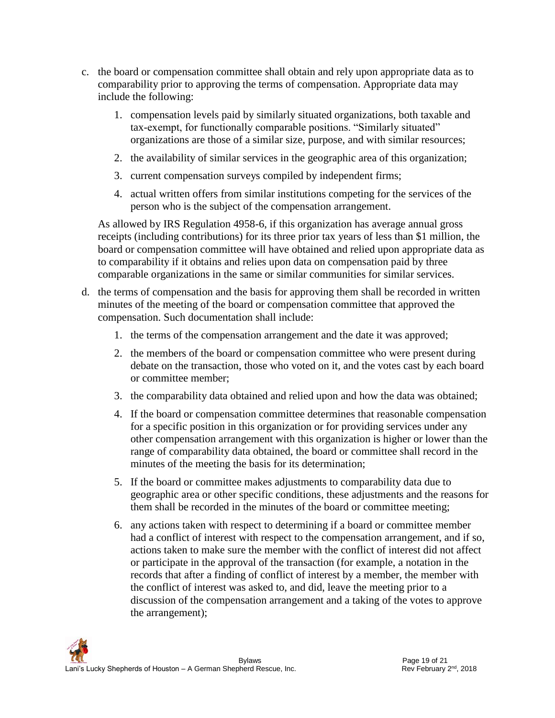- c. the board or compensation committee shall obtain and rely upon appropriate data as to comparability prior to approving the terms of compensation. Appropriate data may include the following:
	- 1. compensation levels paid by similarly situated organizations, both taxable and tax-exempt, for functionally comparable positions. "Similarly situated" organizations are those of a similar size, purpose, and with similar resources;
	- 2. the availability of similar services in the geographic area of this organization;
	- 3. current compensation surveys compiled by independent firms;
	- 4. actual written offers from similar institutions competing for the services of the person who is the subject of the compensation arrangement.

As allowed by IRS Regulation 4958-6, if this organization has average annual gross receipts (including contributions) for its three prior tax years of less than \$1 million, the board or compensation committee will have obtained and relied upon appropriate data as to comparability if it obtains and relies upon data on compensation paid by three comparable organizations in the same or similar communities for similar services.

- d. the terms of compensation and the basis for approving them shall be recorded in written minutes of the meeting of the board or compensation committee that approved the compensation. Such documentation shall include:
	- 1. the terms of the compensation arrangement and the date it was approved;
	- 2. the members of the board or compensation committee who were present during debate on the transaction, those who voted on it, and the votes cast by each board or committee member;
	- 3. the comparability data obtained and relied upon and how the data was obtained;
	- 4. If the board or compensation committee determines that reasonable compensation for a specific position in this organization or for providing services under any other compensation arrangement with this organization is higher or lower than the range of comparability data obtained, the board or committee shall record in the minutes of the meeting the basis for its determination;
	- 5. If the board or committee makes adjustments to comparability data due to geographic area or other specific conditions, these adjustments and the reasons for them shall be recorded in the minutes of the board or committee meeting;
	- 6. any actions taken with respect to determining if a board or committee member had a conflict of interest with respect to the compensation arrangement, and if so, actions taken to make sure the member with the conflict of interest did not affect or participate in the approval of the transaction (for example, a notation in the records that after a finding of conflict of interest by a member, the member with the conflict of interest was asked to, and did, leave the meeting prior to a discussion of the compensation arrangement and a taking of the votes to approve the arrangement);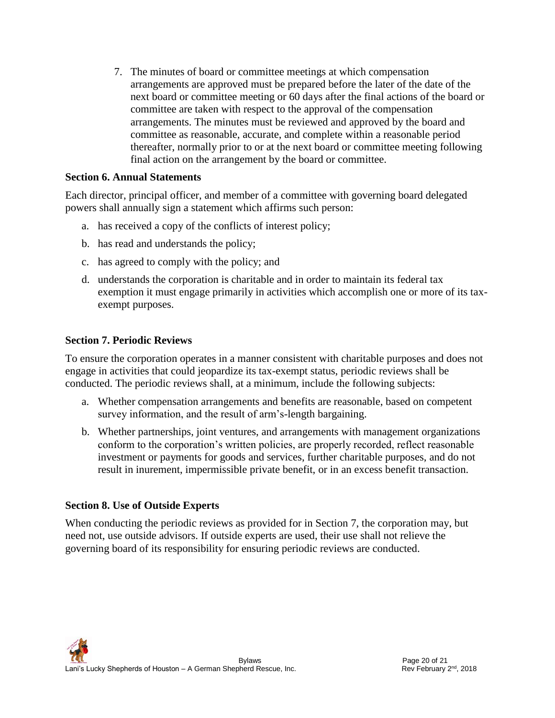7. The minutes of board or committee meetings at which compensation arrangements are approved must be prepared before the later of the date of the next board or committee meeting or 60 days after the final actions of the board or committee are taken with respect to the approval of the compensation arrangements. The minutes must be reviewed and approved by the board and committee as reasonable, accurate, and complete within a reasonable period thereafter, normally prior to or at the next board or committee meeting following final action on the arrangement by the board or committee.

### **Section 6. Annual Statements**

Each director, principal officer, and member of a committee with governing board delegated powers shall annually sign a statement which affirms such person:

- a. has received a copy of the conflicts of interest policy;
- b. has read and understands the policy;
- c. has agreed to comply with the policy; and
- d. understands the corporation is charitable and in order to maintain its federal tax exemption it must engage primarily in activities which accomplish one or more of its taxexempt purposes.

### **Section 7. Periodic Reviews**

To ensure the corporation operates in a manner consistent with charitable purposes and does not engage in activities that could jeopardize its tax-exempt status, periodic reviews shall be conducted. The periodic reviews shall, at a minimum, include the following subjects:

- a. Whether compensation arrangements and benefits are reasonable, based on competent survey information, and the result of arm's-length bargaining.
- b. Whether partnerships, joint ventures, and arrangements with management organizations conform to the corporation's written policies, are properly recorded, reflect reasonable investment or payments for goods and services, further charitable purposes, and do not result in inurement, impermissible private benefit, or in an excess benefit transaction.

### **Section 8. Use of Outside Experts**

When conducting the periodic reviews as provided for in Section 7, the corporation may, but need not, use outside advisors. If outside experts are used, their use shall not relieve the governing board of its responsibility for ensuring periodic reviews are conducted.